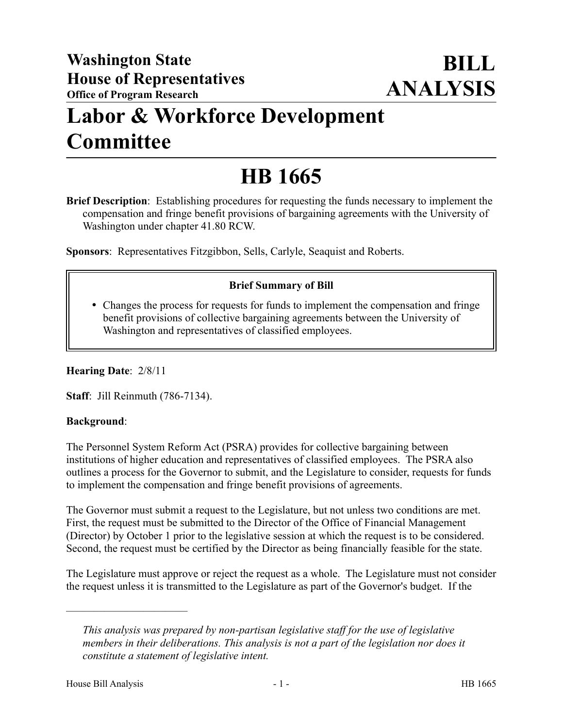## **Labor & Workforce Development Committee**

# **HB 1665**

**Brief Description**: Establishing procedures for requesting the funds necessary to implement the compensation and fringe benefit provisions of bargaining agreements with the University of Washington under chapter 41.80 RCW.

**Sponsors**: Representatives Fitzgibbon, Sells, Carlyle, Seaquist and Roberts.

### **Brief Summary of Bill**

 Changes the process for requests for funds to implement the compensation and fringe benefit provisions of collective bargaining agreements between the University of Washington and representatives of classified employees.

**Hearing Date**: 2/8/11

**Staff**: Jill Reinmuth (786-7134).

#### **Background**:

The Personnel System Reform Act (PSRA) provides for collective bargaining between institutions of higher education and representatives of classified employees. The PSRA also outlines a process for the Governor to submit, and the Legislature to consider, requests for funds to implement the compensation and fringe benefit provisions of agreements.

The Governor must submit a request to the Legislature, but not unless two conditions are met. First, the request must be submitted to the Director of the Office of Financial Management (Director) by October 1 prior to the legislative session at which the request is to be considered. Second, the request must be certified by the Director as being financially feasible for the state.

The Legislature must approve or reject the request as a whole. The Legislature must not consider the request unless it is transmitted to the Legislature as part of the Governor's budget. If the

––––––––––––––––––––––

*This analysis was prepared by non-partisan legislative staff for the use of legislative members in their deliberations. This analysis is not a part of the legislation nor does it constitute a statement of legislative intent.*